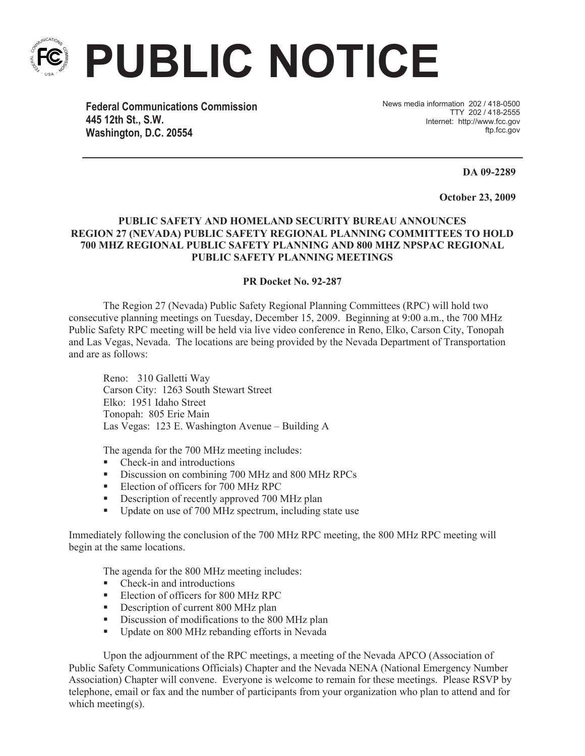

**PUBLIC NOTICE**

**Federal Communications Commission 445 12th St., S.W. Washington, D.C. 20554**

News media information 202 / 418-0500 TTY 202 / 418-2555 Internet: http://www.fcc.gov ftp.fcc.gov

**DA 09-2289**

**October 23, 2009**

## **PUBLIC SAFETY AND HOMELAND SECURITY BUREAU ANNOUNCES REGION 27 (NEVADA) PUBLIC SAFETY REGIONAL PLANNING COMMITTEES TO HOLD 700 MHZ REGIONAL PUBLIC SAFETY PLANNING AND 800 MHZ NPSPAC REGIONAL PUBLIC SAFETY PLANNING MEETINGS**

## **PR Docket No. 92-287**

The Region 27 (Nevada) Public Safety Regional Planning Committees (RPC) will hold two consecutive planning meetings on Tuesday, December 15, 2009. Beginning at 9:00 a.m., the 700 MHz Public Safety RPC meeting will be held via live video conference in Reno, Elko, Carson City, Tonopah and Las Vegas, Nevada. The locations are being provided by the Nevada Department of Transportation and are as follows:

Reno: 310 Galletti Way Carson City: 1263 South Stewart Street Elko: 1951 Idaho Street Tonopah: 805 Erie Main Las Vegas: 123 E. Washington Avenue – Building A

The agenda for the 700 MHz meeting includes:

- Check-in and introductions
- § Discussion on combining 700 MHz and 800 MHz RPCs
- Election of officers for 700 MHz RPC
- Description of recently approved 700 MHz plan
- Update on use of 700 MHz spectrum, including state use

Immediately following the conclusion of the 700 MHz RPC meeting, the 800 MHz RPC meeting will begin at the same locations.

The agenda for the 800 MHz meeting includes:

- Check-in and introductions
- Election of officers for 800 MHz RPC
- Description of current 800 MHz plan
- **•** Discussion of modifications to the 800 MHz plan
- Update on 800 MHz rebanding efforts in Nevada

Upon the adjournment of the RPC meetings, a meeting of the Nevada APCO (Association of Public Safety Communications Officials) Chapter and the Nevada NENA (National Emergency Number Association) Chapter will convene. Everyone is welcome to remain for these meetings. Please RSVP by telephone, email or fax and the number of participants from your organization who plan to attend and for which meeting(s).